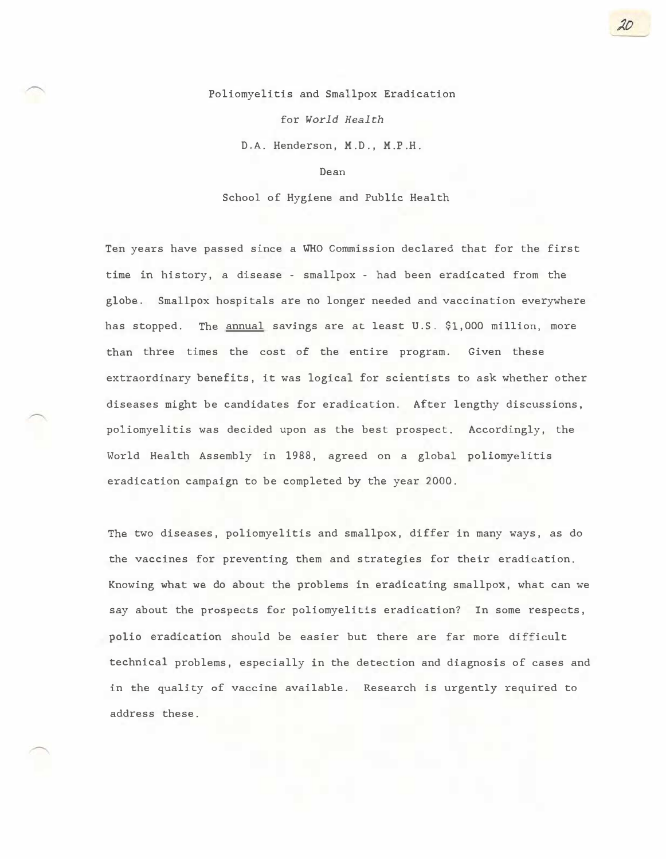Poliomyelitis and Smallpox Eradication

for World Health

D.A. Henderson, M.D., M.P.H.

Dean

School of Hygiene and Public Health

Ten years have passed since a WHO Commission declared that for the first time in history, a disease - smallpox - had been eradicated from the globe. Smallpox hospitals are no longer needed and vaccination everywhere has stopped. The annual savings are at least U.S. \$1,000 million, more than three times the cost of the entire program. Given these extraordinary benefits, it was logical for scientists to ask whether other diseases might be candidates for eradication. After lengthy discussions, poliomyelitis was decided upon as the best prospect. Accordingly, the World Health Assembly in 1988, agreed on a global poliomyelitis eradication campaign to be completed by the year 2000.

The two diseases, poliomyelitis and smallpox, differ in many ways, as do the vaccines for preventing them and strategies for their eradication. Knowing what we do about the problems in eradicating smallpox, what can we say about the prospects for poliomyelitis eradication? In some respects, polio eradication should be easier but there are far more difficult technical problems, especially in the detection and diagnosis of cases and in the quality of vaccine available. Research is urgently required to address these.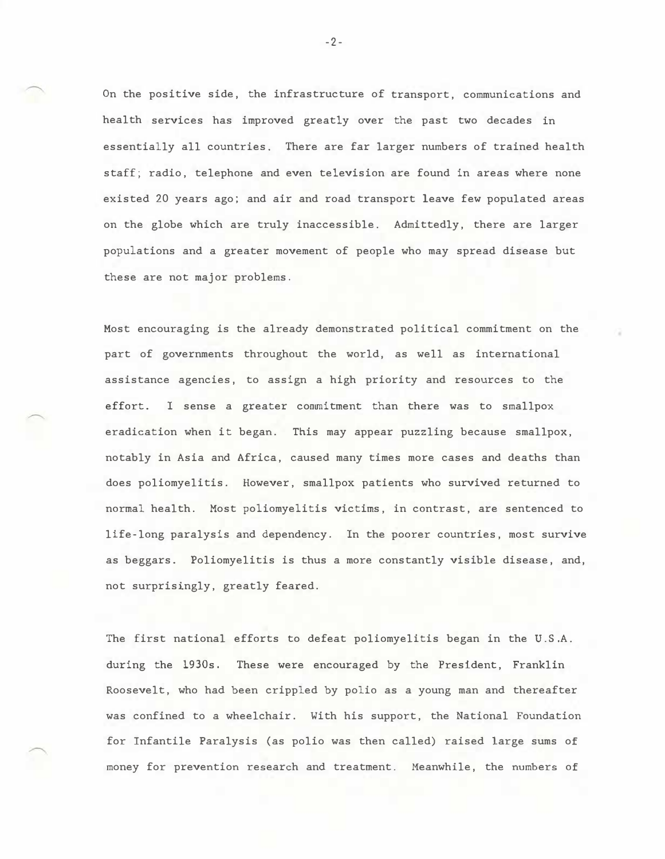On the positive side, the infrastructure of transport, communications and health services has improved greatly over the past two decades in essentially all countries. There are far larger numbers of trained health staff; radio, telephone and even television are found in areas where none existed 20 years ago; and air and road transport leave few populated areas on the globe which are truly inaccessible. Admittedly, there are larger populations and a greater movement of people who may spread disease but these are not major problems.

Most encouraging is the already demonstrated political commitment on the part of governments throughout the world, as well as international assistance agencies, to assign a high priority and resources to the effort. I sense a greater commitment than there was to smallpox eradication when it began. This may appear puzzling because smallpox, notably in Asia and Africa, caused many times more cases and deaths than does poliomyelitis. However, smallpox patients who survived returned to normal health. Most poliomyelitis victims, in contrast, are sentenced to life-long paralysis and dependency. In the poorer countries, most survive as beggars. Poliomyelitis is thus a more constantly visible disease, and, not surprisingly, greatly feared.

The first national efforts to defeat poliomyelitis began in the U.S.A. during the 1930s. These were encouraged by the President, Franklin Roosevelt, who had been crippled by polio as a young man and thereafter was confined to a wheelchair. With his support, the National Foundation for Infantile Paralysis (as polio was then called) raised large sums of money for prevention research and treatment. Meanwhile, the numbers of

-2-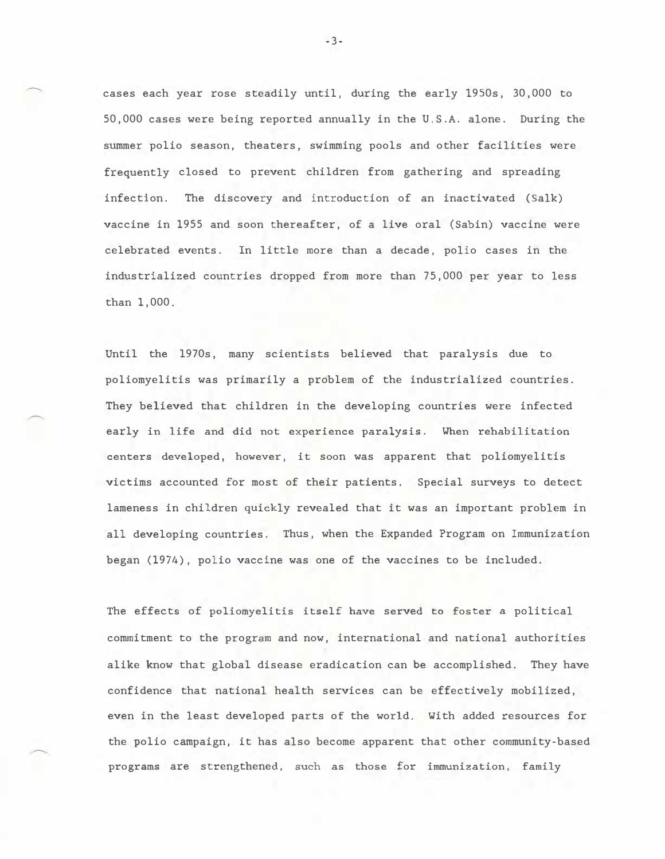cases each year rose steadily until, during the early 1950s, 30,000 to 50,000 cases were being reported annually in the U.S.A. alone. During the summer polio season, theaters, swimming pools and other facilities were frequently closed to prevent children from gathering and spreading infection. The discovery and introduction of an inactivated (Salk) vaccine in 1955 and soon thereafter, of a live oral (Sabin) vaccine were celebrated events. In little more than a decade, polio cases in the industrialized countries dropped from more than 75,000 per year to less than 1,000.

Until the 1970s, many scientists believed that paralysis due to poliomyelitis was primarily a problem of the industrialized countries. They believed that children in the developing countries were infected early in life and did not experience paralysis. When rehabilitation centers developed, however, it soon was apparent that poliomyelitis victims accounted for most of their patients. Special surveys to detect lameness in children quickly revealed that it was an important problem in all developing countries. Thus, when the Expanded Program on Immunization began (1974), polio vaccine was one of the vaccines to be included.

The effects of poliomyelitis itself have served to foster a political commitment to the program and now, international and national authorities alike know that global disease eradication can be accomplished. They have confidence that national health services can be effectively mobilized, even in the least developed parts of the world. With added resources for the polio campaign, it has also become apparent that other community-based programs are strengthened, such as those for immunization, family

-3-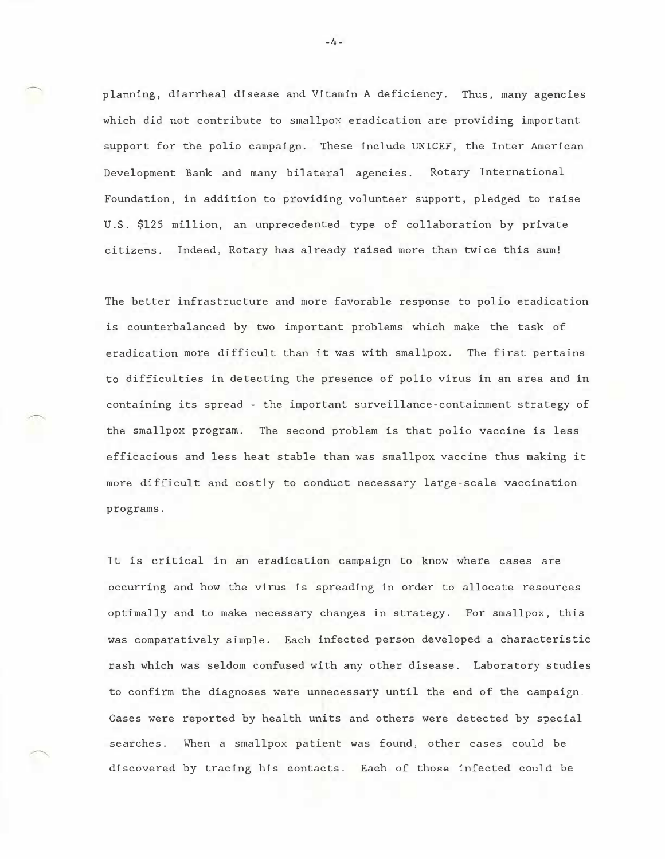planning, diarrheal disease and Vitamin A deficiency. Thus, many agencies which did not contribute to smallpox eradication are providing important support for the polio campaign. These include UNICEF, the Inter American Development Bank and many bilateral agencies. Rotary International Foundation, in addition to providing volunteer support, pledged to raise U.S. \$125 million, an unprecedented type of collaboration by private citizens. Indeed, Rotary has already raised more than twice this sum!

The better infrastructure and more favorable response to polio eradication is counterbalanced by two important problems which make the task of eradication more difficult than it was with smallpox. The first pertains to difficulties in detecting the presence of polio virus in an area and in containing its spread - the important surveillance-containment strategy of the smallpox program. The second problem is that polio vaccine is less efficacious and less heat stable than was smallpox vaccine thus making it more difficult and costly to conduct necessary large-scale vaccination programs.

It is critical in an eradication campaign to know where cases are occurring and how the virus is spreading in order to allocate resources optimally and to make necessary changes in strategy. For smallpox, this was comparatively simple. Each infected person developed a characteristic rash which was seldom confused with any other disease. Laboratory studies to confirm the diagnoses were unnecessary until the end of the campaign. Cases were reported by health units and others were detected by special searches. When a smallpox patient was found, other cases could be discovered by tracing his contacts. Each of those infected could be

 $-4 -$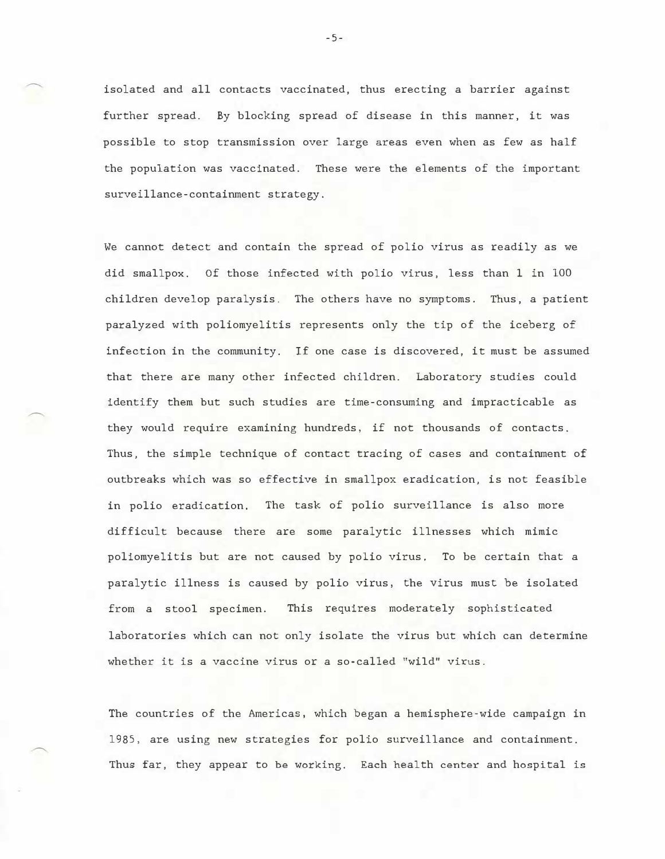isolated and all contacts vaccinated, thus erecting a barrier against further spread. By blocking spread of disease in this manner, it was possible to stop transmission over large areas even when as few as half the population was vaccinated. These were the elements of the important surveillance-containment strategy.

We cannot detect and contain the spread of polio virus as readily as we did smallpox. Of those infected with polio virus, less than 1 in 100 children develop paralysis. The others have no symptoms. Thus, a patient paralyzed with poliomyelitis represents only the tip of the iceberg of infection in the community. If one case is discovered, it must be assumed that there are many other infected children. Laboratory studies could identify them but such studies are time-consuming and impracticable as they would require examining hundreds, if not thousands of contacts. Thus, the simple technique of contact tracing of cases and containment of outbreaks which was so effective in smallpox eradication, is not feasible in polio eradication. The task of polio surveillance is also more difficult because there are some paralytic illnesses which mimic poliomyelitis but are not caused by polio virus. To be certain that a paralytic illness is caused by polio virus, the virus must be isolated from a stool specimen. This requires moderately sophisticated laboratories which can not only isolate the virus but which can determine whether it is a vaccine virus or a so-called "wild" virus.

The countries of the Americas, which began a hemisphere-wide campaign in 1985, are using new strategies for polio surveillance and containment. Thus far, they appear to be working. Each health center and hospital is

-5-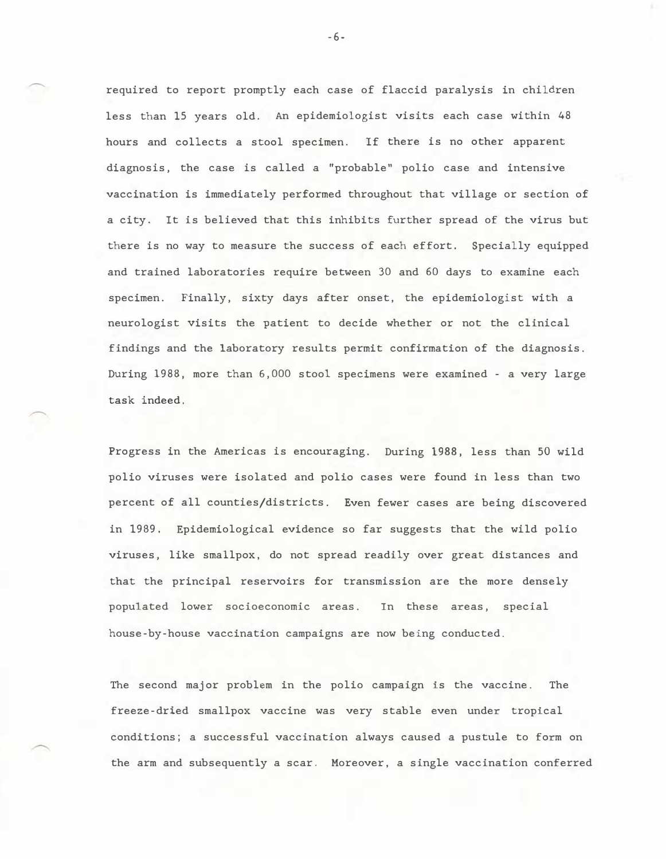required to report promptly each case of flaccid paralysis in children less than 15 years old. An epidemiologist visits each case within 48 hours and collects a stool specimen. If there is no other apparent diagnosis, the case is called a "probable" polio case and intensive vaccination is immediately performed throughout that village or section of a city. It is believed that this inhibits further spread of the virus but there is no way to measure the success of each effort. Specially equipped and trained laboratories require between 30 and 60 days to examine each specimen. Finally, sixty days after onset, the epidemiologist with a neurologist visits the patient to decide whether or not the clinical findings and the laboratory results permit confirmation of the diagnosis. During 1988, more than 6,000 stool specimens were examined - a very large task indeed.

Progress in the Americas is encouraging. During 1988, less than 50 wild polio viruses were isolated and polio cases were found in less than two percent of all counties/districts. Even fewer cases are being discovered in 1989. Epidemiological evidence so far suggests that the wild polio viruses, like smallpox, do not spread readily over great distances and that the principal reservoirs for transmission are the more densely populated lower socioeconomic areas. In these areas, special house-by-house vaccination campaigns are now being conducted.

The second major problem in the polio campaign is the vaccine. The freeze-dried smallpox vaccine was very stable even under tropical conditions; a successful vaccination always caused a pustule to form on the arm and subsequently a scar. Moreover, a single vaccination conferred

-6-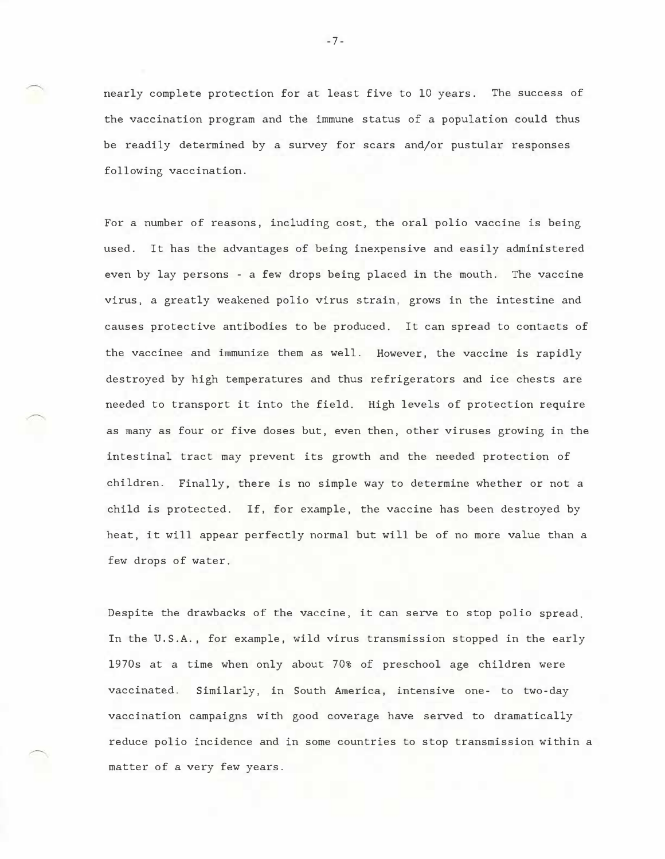nearly complete protection for at least five to 10 years. The success of the vaccination program and the immune status of a population could thus be readily determined by a survey for scars and/or pustular responses following vaccination.

For a number of reasons, including cost, the oral polio vaccine is being used. It has the advantages of being inexpensive and easily administered even by lay persons - a few drops being placed in the mouth. The vaccine virus, a greatly weakened polio virus strain, grows in the intestine and causes protective antibodies to be produced. It can spread to contacts of the vaccinee and immunize them as well. However, the vaccine is rapidly destroyed by high temperatures and thus refrigerators and ice chests are needed to transport it into the field. High levels of protection require as many as four or five doses but, even then, other viruses growing in the intestinal tract may prevent its growth and the needed protection of children. Finally, there is no simple way to determine whether or not a child is protected. If, for example, the vaccine has been destroyed by heat, it will appear perfectly normal but will be of no more value than a few drops of water.

Despite the drawbacks of the vaccine, it can serve to stop polio spread. In the U.S.A., for example, wild virus transmission stopped in the early 1970s at a time when only about 70% of preschool age children were vaccinated. Similarly, in South America, intensive one- to two-day vaccination campaigns with good coverage have served to dramatically reduce polio incidence and in some countries to stop transmission within a matter of a very few years.

-7-